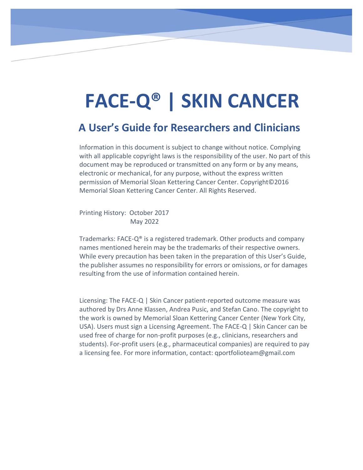# **FACE-Q® | SKIN CANCER**

## **A User's Guide for Researchers and Clinicians**

Information in this document is subject to change without notice. Complying with all applicable copyright laws is the responsibility of the user. No part of this document may be reproduced or transmitted on any form or by any means, electronic or mechanical, for any purpose, without the express written permission of Memorial Sloan Kettering Cancer Center. Copyright©2016 Memorial Sloan Kettering Cancer Center. All Rights Reserved.

Printing History: October 2017 May 2022

Trademarks: FACE- $Q^{\circ}$  is a registered trademark. Other products and company names mentioned herein may be the trademarks of their respective owners. While every precaution has been taken in the preparation of this User's Guide, the publisher assumes no responsibility for errors or omissions, or for damages resulting from the use of information contained herein.

Licensing: The FACE-Q | Skin Cancer patient-reported outcome measure was authored by Drs Anne Klassen, Andrea Pusic, and Stefan Cano. The copyright to the work is owned by Memorial Sloan Kettering Cancer Center (New York City, USA). Users must sign a Licensing Agreement. The FACE-Q | Skin Cancer can be used free of charge for non-profit purposes (e.g., clinicians, researchers and students). For-profit users (e.g., pharmaceutical companies) are required to pay a licensing fee. For more information, contact: qportfolioteam@gmail.com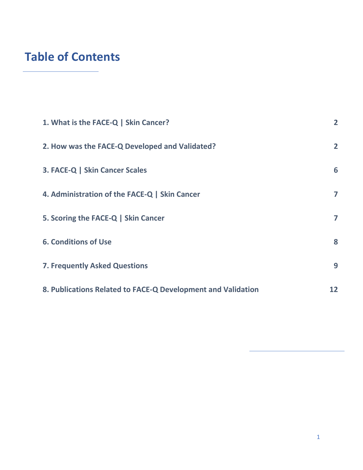## **Table of Contents**

| 1. What is the FACE-Q   Skin Cancer?                         | $\overline{2}$ |
|--------------------------------------------------------------|----------------|
| 2. How was the FACE-Q Developed and Validated?               | $\overline{2}$ |
| 3. FACE-Q   Skin Cancer Scales                               | 6              |
| 4. Administration of the FACE-Q   Skin Cancer                | 7              |
| 5. Scoring the FACE-Q   Skin Cancer                          | 7              |
| <b>6. Conditions of Use</b>                                  | 8              |
| <b>7. Frequently Asked Questions</b>                         | 9              |
| 8. Publications Related to FACE-Q Development and Validation | 12             |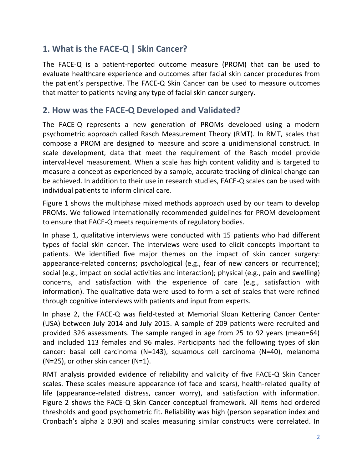## <span id="page-2-0"></span>**1. What is the FACE-Q | Skin Cancer?**

The FACE-Q is a patient-reported outcome measure (PROM) that can be used to evaluate healthcare experience and outcomes after facial skin cancer procedures from the patient's perspective. The FACE-Q Skin Cancer can be used to measure outcomes that matter to patients having any type of facial skin cancer surgery.

### <span id="page-2-1"></span>**2. How was the FACE-Q Developed and Validated?**

The FACE-Q represents a new generation of PROMs developed using a modern psychometric approach called Rasch Measurement Theory (RMT). In RMT, scales that compose a PROM are designed to measure and score a unidimensional construct. In scale development, data that meet the requirement of the Rasch model provide interval-level measurement. When a scale has high content validity and is targeted to measure a concept as experienced by a sample, accurate tracking of clinical change can be achieved. In addition to their use in research studies, FACE-Q scales can be used with individual patients to inform clinical care.

Figure 1 shows the multiphase mixed methods approach used by our team to develop PROMs. We followed internationally recommended guidelines for PROM development to ensure that FACE-Q meets requirements of regulatory bodies.

In phase 1, qualitative interviews were conducted with 15 patients who had different types of facial skin cancer. The interviews were used to elicit concepts important to patients. We identified five major themes on the impact of skin cancer surgery: appearance-related concerns; psychological (e.g., fear of new cancers or recurrence); social (e.g., impact on social activities and interaction); physical (e.g., pain and swelling) concerns, and satisfaction with the experience of care (e.g., satisfaction with information). The qualitative data were used to form a set of scales that were refined through cognitive interviews with patients and input from experts.

In phase 2, the FACE-Q was field-tested at Memorial Sloan Kettering Cancer Center (USA) between July 2014 and July 2015. A sample of 209 patients were recruited and provided 326 assessments. The sample ranged in age from 25 to 92 years (mean=64) and included 113 females and 96 males. Participants had the following types of skin cancer: basal cell carcinoma (N=143), squamous cell carcinoma (N=40), melanoma (N=25), or other skin cancer (N=1).

RMT analysis provided evidence of reliability and validity of five FACE-Q Skin Cancer scales. These scales measure appearance (of face and scars), health-related quality of life (appearance-related distress, cancer worry), and satisfaction with information. Figure 2 shows the FACE-Q Skin Cancer conceptual framework. All items had ordered thresholds and good psychometric fit. Reliability was high (person separation index and Cronbach's alpha  $\geq$  0.90) and scales measuring similar constructs were correlated. In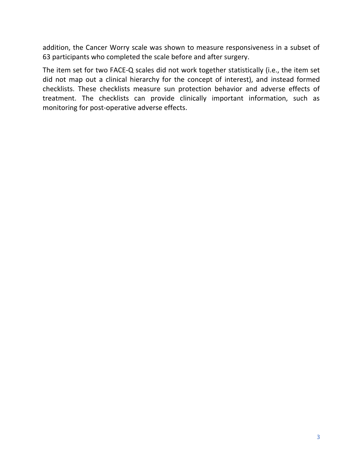addition, the Cancer Worry scale was shown to measure responsiveness in a subset of 63 participants who completed the scale before and after surgery.

The item set for two FACE-Q scales did not work together statistically (i.e., the item set did not map out a clinical hierarchy for the concept of interest), and instead formed checklists. These checklists measure sun protection behavior and adverse effects of treatment. The checklists can provide clinically important information, such as monitoring for post-operative adverse effects.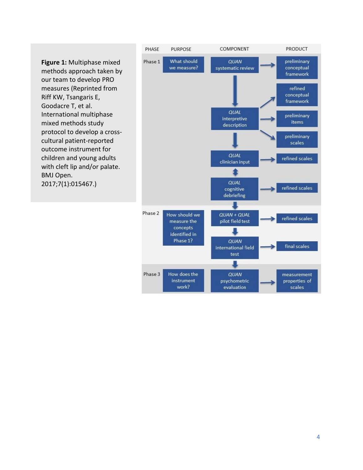

work?

evaluation

scales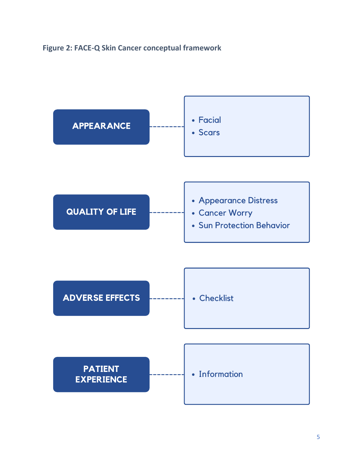#### **Figure 2: FACE-Q Skin Cancer conceptual framework**

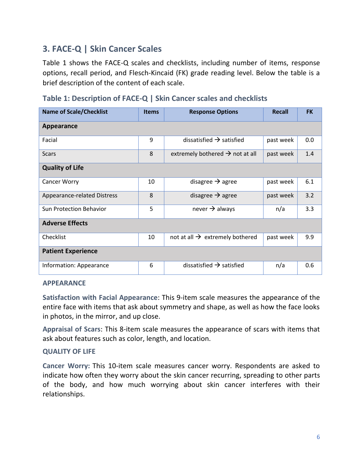## <span id="page-6-0"></span>**3. FACE-Q | Skin Cancer Scales**

Table 1 shows the FACE-Q scales and checklists, including number of items, response options, recall period, and Flesch-Kincaid (FK) grade reading level. Below the table is a brief description of the content of each scale.

| <b>Name of Scale/Checklist</b>     | <b>Items</b> | <b>Response Options</b>                                  | Recall    | <b>FK</b> |  |  |  |
|------------------------------------|--------------|----------------------------------------------------------|-----------|-----------|--|--|--|
| Appearance                         |              |                                                          |           |           |  |  |  |
| Facial                             | 9            | dissatisfied $\rightarrow$ satisfied<br>past week        |           | 0.0       |  |  |  |
| <b>Scars</b>                       | 8            | extremely bothered $\rightarrow$ not at all<br>past week |           | 1.4       |  |  |  |
| <b>Quality of Life</b>             |              |                                                          |           |           |  |  |  |
| Cancer Worry                       | 10           | disagree $\rightarrow$ agree                             | past week | 6.1       |  |  |  |
| <b>Appearance-related Distress</b> | 8            | disagree $\rightarrow$ agree<br>past week                |           | 3.2       |  |  |  |
| <b>Sun Protection Behavior</b>     | 5            | never $\rightarrow$ always<br>n/a                        |           | 3.3       |  |  |  |
| <b>Adverse Effects</b>             |              |                                                          |           |           |  |  |  |
| Checklist                          | 10           | not at all $\rightarrow$ extremely bothered<br>past week |           | 9.9       |  |  |  |
| <b>Patient Experience</b>          |              |                                                          |           |           |  |  |  |
| Information: Appearance            | 6            | dissatisfied $\rightarrow$ satisfied                     | n/a       | 0.6       |  |  |  |

#### **APPEARANCE**

**Satisfaction with Facial Appearance**: This 9-item scale measures the appearance of the entire face with items that ask about symmetry and shape, as well as how the face looks in photos, in the mirror, and up close.

**Appraisal of Scars**: This 8-item scale measures the appearance of scars with items that ask about features such as color, length, and location.

#### **QUALITY OF LIFE**

**Cancer Worry:** This 10-item scale measures cancer worry. Respondents are asked to indicate how often they worry about the skin cancer recurring, spreading to other parts of the body, and how much worrying about skin cancer interferes with their relationships.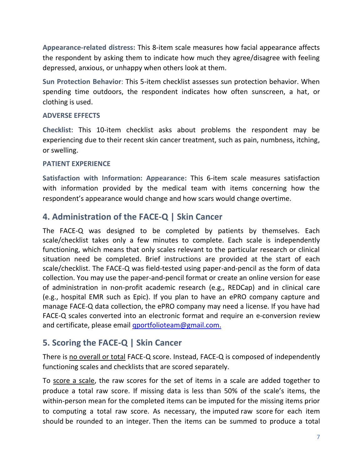**Appearance-related distress:** This 8-item scale measures how facial appearance affects the respondent by asking them to indicate how much they agree/disagree with feeling depressed, anxious, or unhappy when others look at them.

**Sun Protection Behavior**: This 5-item checklist assesses sun protection behavior. When spending time outdoors, the respondent indicates how often sunscreen, a hat, or clothing is used.

#### **ADVERSE EFFECTS**

**Checklist**: This 10-item checklist asks about problems the respondent may be experiencing due to their recent skin cancer treatment, such as pain, numbness, itching, or swelling.

#### **PATIENT EXPERIENCE**

**Satisfaction with Information: Appearance:** This 6-item scale measures satisfaction with information provided by the medical team with items concerning how the respondent's appearance would change and how scars would change overtime.

#### <span id="page-7-0"></span>**4. Administration of the FACE-Q | Skin Cancer**

The FACE-Q was designed to be completed by patients by themselves. Each scale/checklist takes only a few minutes to complete. Each scale is independently functioning, which means that only scales relevant to the particular research or clinical situation need be completed. Brief instructions are provided at the start of each scale/checklist. The FACE-Q was field-tested using paper-and-pencil as the form of data collection. You may use the paper-and-pencil format or create an online version for ease of administration in non-profit academic research (e.g., REDCap) and in clinical care (e.g., hospital EMR such as Epic). If you plan to have an ePRO company capture and manage FACE-Q data collection, the ePRO company may need a license. If you have had FACE-Q scales converted into an electronic format and require an e-conversion review and certificate, please email [qportfolioteam@gmail.com.](mailto:qportfolioteam@gmail.com)

#### <span id="page-7-1"></span>**5. Scoring the FACE-Q | Skin Cancer**

There is no overall or total FACE-Q score. Instead, FACE-Q is composed of independently functioning scales and checklists that are scored separately.

To score a scale, the raw scores for the set of items in a scale are added together to produce a total raw score. If missing data is less than 50% of the scale's items, the within-person mean for the completed items can be imputed for the missing items prior to computing a total raw score. As necessary, the imputed raw score for each item should be rounded to an integer. Then the items can be summed to produce a total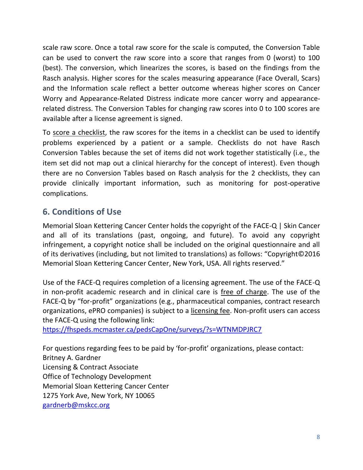scale raw score. Once a total raw score for the scale is computed, the Conversion Table can be used to convert the raw score into a score that ranges from 0 (worst) to 100 (best). The conversion, which linearizes the scores, is based on the findings from the Rasch analysis. Higher scores for the scales measuring appearance (Face Overall, Scars) and the Information scale reflect a better outcome whereas higher scores on Cancer Worry and Appearance-Related Distress indicate more cancer worry and appearancerelated distress. The Conversion Tables for changing raw scores into 0 to 100 scores are available after a license agreement is signed.

To score a checklist, the raw scores for the items in a checklist can be used to identify problems experienced by a patient or a sample. Checklists do not have Rasch Conversion Tables because the set of items did not work together statistically (i.e., the item set did not map out a clinical hierarchy for the concept of interest). Even though there are no Conversion Tables based on Rasch analysis for the 2 checklists, they can provide clinically important information, such as monitoring for post-operative complications.

## <span id="page-8-0"></span>**6. Conditions of Use**

Memorial Sloan Kettering Cancer Center holds the copyright of the FACE-Q | Skin Cancer and all of its translations (past, ongoing, and future). To avoid any copyright infringement, a copyright notice shall be included on the original questionnaire and all of its derivatives (including, but not limited to translations) as follows: "Copyright©2016 Memorial Sloan Kettering Cancer Center, New York, USA. All rights reserved."

Use of the FACE-Q requires completion of a licensing agreement. The use of the FACE-Q in non-profit academic research and in clinical care is free of charge. The use of the FACE-Q by "for-profit" organizations (e.g., pharmaceutical companies, contract research organizations, ePRO companies) is subject to a licensing fee. Non-profit users can access the FACE-Q using the following link:

<https://fhspeds.mcmaster.ca/pedsCapOne/surveys/?s=WTNMDPJRC7>

For questions regarding fees to be paid by 'for-profit' organizations, please contact: Britney A. Gardner Licensing & Contract Associate Office of Technology Development Memorial Sloan Kettering Cancer Center 1275 York Ave, New York, NY 10065 [gardnerb@mskcc.org](mailto:gardnerb@mskcc.org)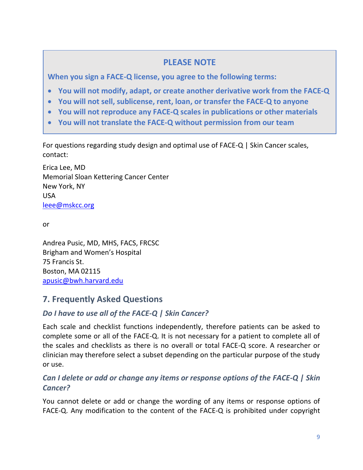#### **PLEASE NOTE**

**When you sign a FACE-Q license, you agree to the following terms:**

- **You will not modify, adapt, or create another derivative work from the FACE-Q**
- **You will not sell, sublicense, rent, loan, or transfer the FACE-Q to anyone**
- **You will not reproduce any FACE-Q scales in publications or other materials**
- **You will not translate the FACE-Q without permission from our team**

For questions regarding study design and optimal use of FACE-Q | Skin Cancer scales, contact:

Erica Lee, MD Memorial Sloan Kettering Cancer Center New York, NY USA [leee@mskcc.org](mailto:leee@mskcc.org)

or

Andrea Pusic, MD, MHS, FACS, FRCSC Brigham and Women's Hospital 75 Francis St. Boston, MA 02115 [apusic@bwh.harvard.edu](mailto:apusic@bwh.harvard.edu)

## <span id="page-9-0"></span>**7. Frequently Asked Questions**

#### *Do I have to use all of the FACE-Q | Skin Cancer?*

Each scale and checklist functions independently, therefore patients can be asked to complete some or all of the FACE-Q. It is not necessary for a patient to complete all of the scales and checklists as there is no overall or total FACE-Q score. A researcher or clinician may therefore select a subset depending on the particular purpose of the study or use.

#### *Can I delete or add or change any items or response options of the FACE-Q | Skin Cancer?*

You cannot delete or add or change the wording of any items or response options of FACE-Q. Any modification to the content of the FACE-Q is prohibited under copyright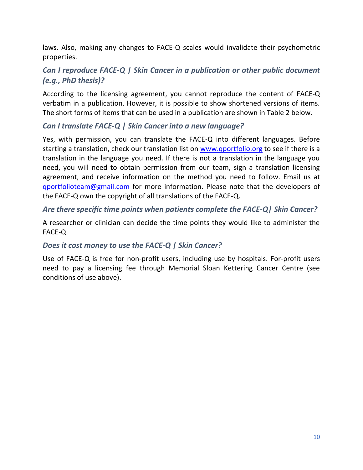laws. Also, making any changes to FACE-Q scales would invalidate their psychometric properties.

#### *Can I reproduce FACE-Q | Skin Cancer in a publication or other public document (e.g., PhD thesis)?*

According to the licensing agreement, you cannot reproduce the content of FACE-Q verbatim in a publication. However, it is possible to show shortened versions of items. The short forms of items that can be used in a publication are shown in Table 2 below.

#### *Can I translate FACE-Q | Skin Cancer into a new language?*

Yes, with permission, you can translate the FACE-Q into different languages. Before starting a translation, check our translation list on [www.qportfolio.org](http://www.qportfolio.org/) to see if there is a translation in the language you need. If there is not a translation in the language you need, you will need to obtain permission from our team, sign a translation licensing agreement, and receive information on the method you need to follow. Email us at [qportfolioteam@gmail.com](mailto:qportfolioteam@gmail.com) for more information. Please note that the developers of the FACE-Q own the copyright of all translations of the FACE-Q.

#### *Are there specific time points when patients complete the FACE-Q| Skin Cancer?*

A researcher or clinician can decide the time points they would like to administer the FACE-Q.

#### *Does it cost money to use the FACE-Q | Skin Cancer?*

Use of FACE-Q is free for non-profit users, including use by hospitals. For-profit users need to pay a licensing fee through Memorial Sloan Kettering Cancer Centre (see conditions of use above).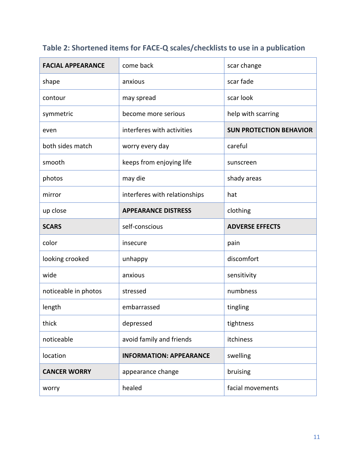| <b>FACIAL APPEARANCE</b> | come back                      | scar change                    |  |
|--------------------------|--------------------------------|--------------------------------|--|
| shape                    | anxious                        | scar fade                      |  |
| contour                  | may spread                     | scar look                      |  |
| symmetric                | become more serious            | help with scarring             |  |
| even                     | interferes with activities     | <b>SUN PROTECTION BEHAVIOR</b> |  |
| both sides match         | worry every day                | careful                        |  |
| smooth                   | keeps from enjoying life       | sunscreen                      |  |
| photos                   | may die                        | shady areas                    |  |
| mirror                   | interferes with relationships  | hat                            |  |
| up close                 | <b>APPEARANCE DISTRESS</b>     | clothing                       |  |
| <b>SCARS</b>             | self-conscious                 | <b>ADVERSE EFFECTS</b>         |  |
| color                    | insecure                       | pain                           |  |
| looking crooked          | unhappy                        | discomfort                     |  |
| wide                     | anxious                        | sensitivity                    |  |
| noticeable in photos     | stressed                       | numbness                       |  |
| length                   | embarrassed                    | tingling                       |  |
| thick                    | depressed                      | tightness                      |  |
| noticeable               | avoid family and friends       | itchiness                      |  |
| location                 | <b>INFORMATION: APPEARANCE</b> | swelling                       |  |
| <b>CANCER WORRY</b>      | appearance change              | bruising                       |  |
| worry                    | healed                         | facial movements               |  |

## **Table 2: Shortened items for FACE-Q scales/checklists to use in a publication**